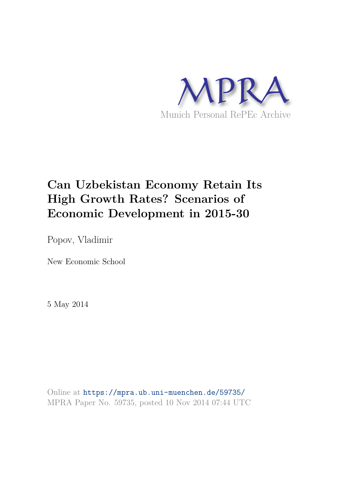

# **Can Uzbekistan Economy Retain Its High Growth Rates? Scenarios of Economic Development in 2015-30**

Popov, Vladimir

New Economic School

5 May 2014

Online at https://mpra.ub.uni-muenchen.de/59735/ MPRA Paper No. 59735, posted 10 Nov 2014 07:44 UTC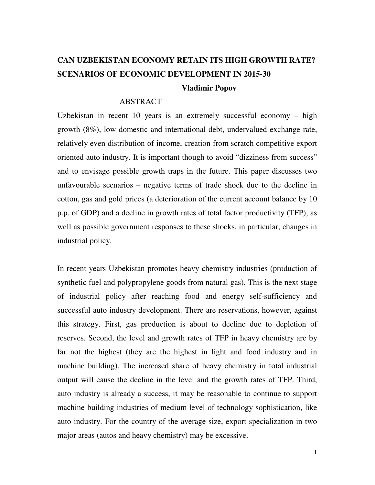# **CAN UZBEKISTAN ECONOMY RETAIN ITS HIGH GROWTH RATE? SCENARIOS OF ECONOMIC DEVELOPMENT IN 2015-30 Vladimir Popov**

### ABSTRACT

Uzbekistan in recent 10 years is an extremely successful economy – high growth (8%), low domestic and international debt, undervalued exchange rate, relatively even distribution of income, creation from scratch competitive export oriented auto industry. It is important though to avoid "dizziness from success" and to envisage possible growth traps in the future. This paper discusses two unfavourable scenarios – negative terms of trade shock due to the decline in cotton, gas and gold prices (a deterioration of the current account balance by 10 p.p. of GDP) and a decline in growth rates of total factor productivity (TFP), as well as possible government responses to these shocks, in particular, changes in industrial policy.

In recent years Uzbekistan promotes heavy chemistry industries (production of synthetic fuel and polypropylene goods from natural gas). This is the next stage of industrial policy after reaching food and energy self-sufficiency and successful auto industry development. There are reservations, however, against this strategy. First, gas production is about to decline due to depletion of reserves. Second, the level and growth rates of TFP in heavy chemistry are by far not the highest (they are the highest in light and food industry and in machine building). The increased share of heavy chemistry in total industrial output will cause the decline in the level and the growth rates of TFP. Third, auto industry is already a success, it may be reasonable to continue to support machine building industries of medium level of technology sophistication, like auto industry. For the country of the average size, export specialization in two major areas (autos and heavy chemistry) may be excessive.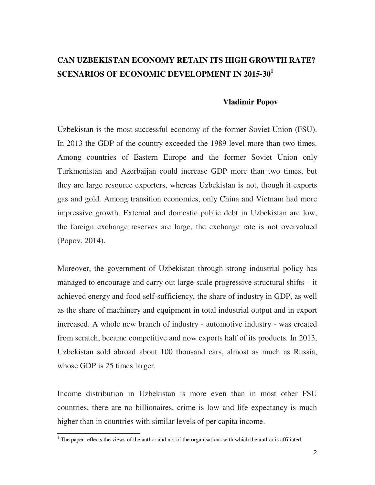### **CAN UZBEKISTAN ECONOMY RETAIN ITS HIGH GROWTH RATE? SCENARIOS OF ECONOMIC DEVELOPMENT IN 2015-30<sup>1</sup>**

### **Vladimir Popov**

Uzbekistan is the most successful economy of the former Soviet Union (FSU). In 2013 the GDP of the country exceeded the 1989 level more than two times. Among countries of Eastern Europe and the former Soviet Union only Turkmenistan and Azerbaijan could increase GDP more than two times, but they are large resource exporters, whereas Uzbekistan is not, though it exports gas and gold. Among transition economies, only China and Vietnam had more impressive growth. External and domestic public debt in Uzbekistan are low, the foreign exchange reserves are large, the exchange rate is not overvalued (Popov, 2014).

Moreover, the government of Uzbekistan through strong industrial policy has managed to encourage and carry out large-scale progressive structural shifts – it achieved energy and food self-sufficiency, the share of industry in GDP, as well as the share of machinery and equipment in total industrial output and in export increased. A whole new branch of industry - automotive industry - was created from scratch, became competitive and now exports half of its products. In 2013, Uzbekistan sold abroad about 100 thousand cars, almost as much as Russia, whose GDP is 25 times larger.

Income distribution in Uzbekistan is more even than in most other FSU countries, there are no billionaires, crime is low and life expectancy is much higher than in countries with similar levels of per capita income.

 $\overline{a}$ 

 $<sup>1</sup>$  The paper reflects the views of the author and not of the organisations with which the author is affiliated.</sup>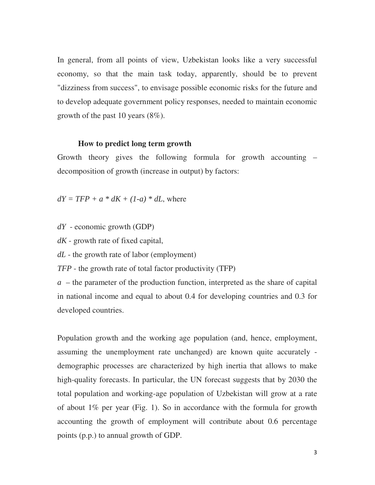In general, from all points of view, Uzbekistan looks like a very successful economy, so that the main task today, apparently, should be to prevent "dizziness from success", to envisage possible economic risks for the future and to develop adequate government policy responses, needed to maintain economic growth of the past 10 years (8%).

#### **How to predict long term growth**

Growth theory gives the following formula for growth accounting – decomposition of growth (increase in output) by factors:

 $dY = TFP + a * dK + (1-a) * dL$ , where

*dY* - economic growth (GDP)

*dK* - growth rate of fixed capital,

*dL* - the growth rate of labor (employment)

*TFP* - the growth rate of total factor productivity (TFP)

*a* – the parameter of the production function, interpreted as the share of capital in national income and equal to about 0.4 for developing countries and 0.3 for developed countries.

Population growth and the working age population (and, hence, employment, assuming the unemployment rate unchanged) are known quite accurately demographic processes are characterized by high inertia that allows to make high-quality forecasts. In particular, the UN forecast suggests that by 2030 the total population and working-age population of Uzbekistan will grow at a rate of about 1% per year (Fig. 1). So in accordance with the formula for growth accounting the growth of employment will contribute about 0.6 percentage points (p.p.) to annual growth of GDP.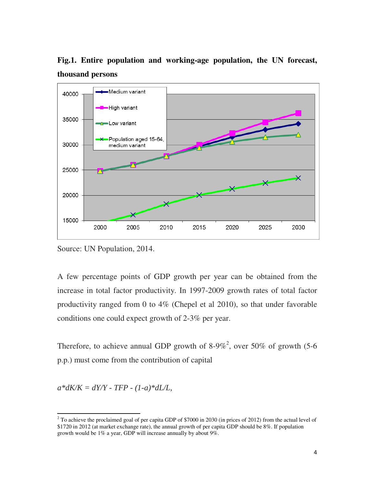**Fig.1. Entire population and working-age population, the UN forecast, thousand persons** 



Source: UN Population, 2014.

A few percentage points of GDP growth per year can be obtained from the increase in total factor productivity. In 1997-2009 growth rates of total factor productivity ranged from 0 to 4% (Chepel et al 2010), so that under favorable conditions one could expect growth of 2-3% per year.

Therefore, to achieve annual GDP growth of 8-9%<sup>2</sup>, over 50% of growth (5-6 p.p.) must come from the contribution of capital

 $a*dK/K = dY/Y$  - TFP -  $(1-a)*dL/L$ ,

 $\overline{a}$ 

 $2^2$  To achieve the proclaimed goal of per capita GDP of \$7000 in 2030 (in prices of 2012) from the actual level of \$1720 in 2012 (at market exchange rate), the annual growth of per capita GDP should be 8%. If population growth would be 1% a year, GDP will increase annually by about 9%.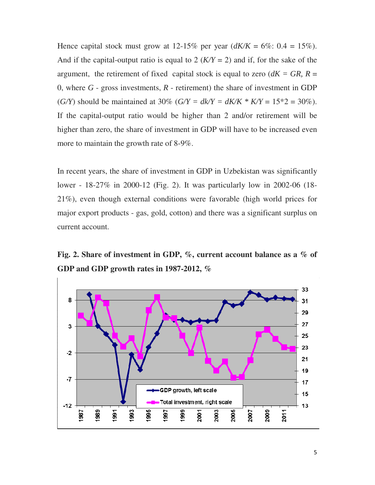Hence capital stock must grow at 12-15% per year  $(dK/K = 6\% : 0.4 = 15\%)$ . And if the capital-output ratio is equal to 2  $(K/Y = 2)$  and if, for the sake of the argument, the retirement of fixed capital stock is equal to zero  $(dK = GR, R =$ 0, where  $G$  - gross investments,  $R$  - retirement) the share of investment in GDP (*G/Y*) should be maintained at 30% (*G/Y = dk/Y = dK/K \* K/Y =* 15\*2 = 30%). If the capital-output ratio would be higher than 2 and/or retirement will be higher than zero, the share of investment in GDP will have to be increased even more to maintain the growth rate of 8-9%.

In recent years, the share of investment in GDP in Uzbekistan was significantly lower - 18-27% in 2000-12 (Fig. 2). It was particularly low in 2002-06 (18- 21%), even though external conditions were favorable (high world prices for major export products - gas, gold, cotton) and there was a significant surplus on current account.

**Fig. 2. Share of investment in GDP, %, current account balance as a % of GDP and GDP growth rates in 1987-2012, %** 

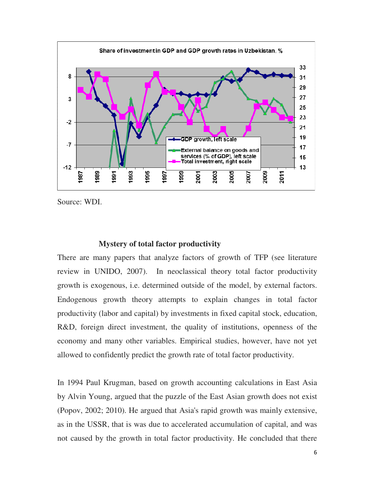

Source: WDI.

### **Mystery of total factor productivity**

There are many papers that analyze factors of growth of TFP (see literature review in UNIDO, 2007). In neoclassical theory total factor productivity growth is exogenous, i.e. determined outside of the model, by external factors. Endogenous growth theory attempts to explain changes in total factor productivity (labor and capital) by investments in fixed capital stock, education, R&D, foreign direct investment, the quality of institutions, openness of the economy and many other variables. Empirical studies, however, have not yet allowed to confidently predict the growth rate of total factor productivity.

In 1994 Paul Krugman, based on growth accounting calculations in East Asia by Alvin Young, argued that the puzzle of the East Asian growth does not exist (Popov, 2002; 2010). He argued that Asia's rapid growth was mainly extensive, as in the USSR, that is was due to accelerated accumulation of capital, and was not caused by the growth in total factor productivity. He concluded that there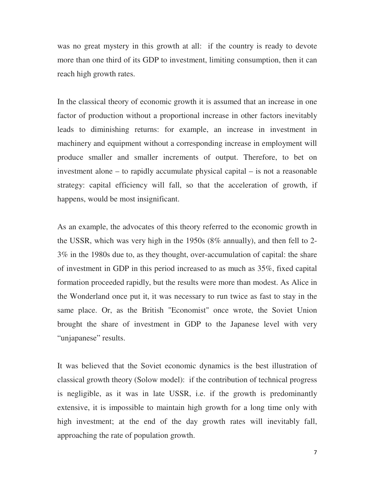was no great mystery in this growth at all: if the country is ready to devote more than one third of its GDP to investment, limiting consumption, then it can reach high growth rates.

In the classical theory of economic growth it is assumed that an increase in one factor of production without a proportional increase in other factors inevitably leads to diminishing returns: for example, an increase in investment in machinery and equipment without a corresponding increase in employment will produce smaller and smaller increments of output. Therefore, to bet on investment alone – to rapidly accumulate physical capital – is not a reasonable strategy: capital efficiency will fall, so that the acceleration of growth, if happens, would be most insignificant.

As an example, the advocates of this theory referred to the economic growth in the USSR, which was very high in the 1950s (8% annually), and then fell to 2- 3% in the 1980s due to, as they thought, over-accumulation of capital: the share of investment in GDP in this period increased to as much as 35%, fixed capital formation proceeded rapidly, but the results were more than modest. As Alice in the Wonderland once put it, it was necessary to run twice as fast to stay in the same place. Or, as the British "Economist" once wrote, the Soviet Union brought the share of investment in GDP to the Japanese level with very "unjapanese" results.

It was believed that the Soviet economic dynamics is the best illustration of classical growth theory (Solow model): if the contribution of technical progress is negligible, as it was in late USSR, i.e. if the growth is predominantly extensive, it is impossible to maintain high growth for a long time only with high investment; at the end of the day growth rates will inevitably fall, approaching the rate of population growth.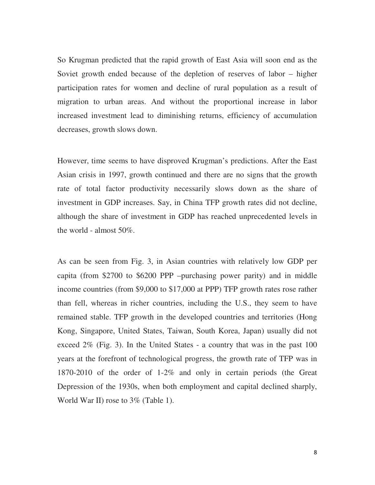So Krugman predicted that the rapid growth of East Asia will soon end as the Soviet growth ended because of the depletion of reserves of labor – higher participation rates for women and decline of rural population as a result of migration to urban areas. And without the proportional increase in labor increased investment lead to diminishing returns, efficiency of accumulation decreases, growth slows down.

However, time seems to have disproved Krugman's predictions. After the East Asian crisis in 1997, growth continued and there are no signs that the growth rate of total factor productivity necessarily slows down as the share of investment in GDP increases. Say, in China TFP growth rates did not decline, although the share of investment in GDP has reached unprecedented levels in the world - almost 50%.

As can be seen from Fig. 3, in Asian countries with relatively low GDP per capita (from \$2700 to \$6200 PPP –purchasing power parity) and in middle income countries (from \$9,000 to \$17,000 at PPP) TFP growth rates rose rather than fell, whereas in richer countries, including the U.S., they seem to have remained stable. TFP growth in the developed countries and territories (Hong Kong, Singapore, United States, Taiwan, South Korea, Japan) usually did not exceed 2% (Fig. 3). In the United States - a country that was in the past 100 years at the forefront of technological progress, the growth rate of TFP was in 1870-2010 of the order of 1-2% and only in certain periods (the Great Depression of the 1930s, when both employment and capital declined sharply, World War II) rose to 3% (Table 1).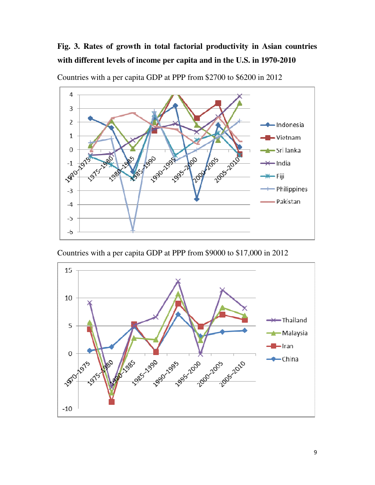## **Fig. 3. Rates of growth in total factorial productivity in Asian countries with different levels of income per capita and in the U.S. in 1970-2010**



Countries with a per capita GDP at PPP from \$2700 to \$6200 in 2012

Countries with a per capita GDP at PPP from \$9000 to \$17,000 in 2012

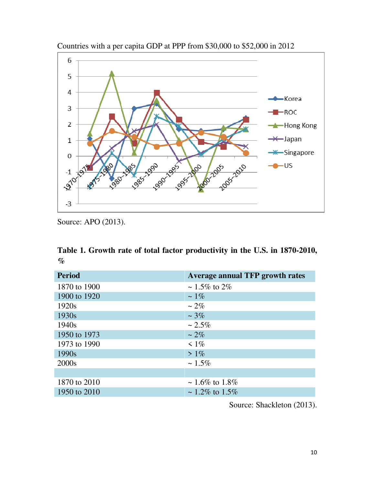

Countries with a per capita GDP at PPP from \$30,000 to \$52,000 in 2012

Source: APO (2013).

|      |  |  | Table 1. Growth rate of total factor productivity in the U.S. in 1870-2010, |  |  |  |
|------|--|--|-----------------------------------------------------------------------------|--|--|--|
| $\%$ |  |  |                                                                             |  |  |  |

| <b>Period</b>     | <b>Average annual TFP growth rates</b> |
|-------------------|----------------------------------------|
| 1870 to 1900      | $\sim 1.5\%$ to 2\%                    |
| 1900 to 1920      | $\sim 1\%$                             |
| 1920 <sub>s</sub> | $\sim$ 2\%                             |
| 1930s             | $~1.3\%$                               |
| 1940 <sub>s</sub> | $~2.5\%$                               |
| 1950 to 1973      | $\sim$ 2\%                             |
| 1973 to 1990      | $\leq 1\%$                             |
| 1990 <sub>s</sub> | $> 1\%$                                |
| 2000s             | $~1.5\%$                               |
|                   |                                        |
| 1870 to 2010      | $\sim 1.6\%$ to 1.8%                   |
| 1950 to 2010      | $\sim 1.2\%$ to 1.5%                   |

Source: Shackleton (2013).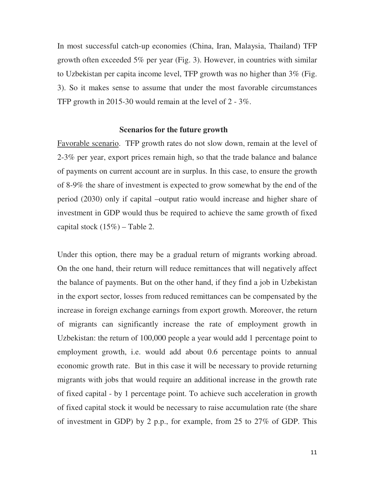In most successful catch-up economies (China, Iran, Malaysia, Thailand) TFP growth often exceeded 5% per year (Fig. 3). However, in countries with similar to Uzbekistan per capita income level, TFP growth was no higher than 3% (Fig. 3). So it makes sense to assume that under the most favorable circumstances TFP growth in 2015-30 would remain at the level of 2 - 3%.

#### **Scenarios for the future growth**

Favorable scenario. TFP growth rates do not slow down, remain at the level of 2-3% per year, export prices remain high, so that the trade balance and balance of payments on current account are in surplus. In this case, to ensure the growth of 8-9% the share of investment is expected to grow somewhat by the end of the period (2030) only if capital –output ratio would increase and higher share of investment in GDP would thus be required to achieve the same growth of fixed capital stock  $(15\%)$  – Table 2.

Under this option, there may be a gradual return of migrants working abroad. On the one hand, their return will reduce remittances that will negatively affect the balance of payments. But on the other hand, if they find a job in Uzbekistan in the export sector, losses from reduced remittances can be compensated by the increase in foreign exchange earnings from export growth. Moreover, the return of migrants can significantly increase the rate of employment growth in Uzbekistan: the return of 100,000 people a year would add 1 percentage point to employment growth, i.e. would add about 0.6 percentage points to annual economic growth rate. But in this case it will be necessary to provide returning migrants with jobs that would require an additional increase in the growth rate of fixed capital - by 1 percentage point. To achieve such acceleration in growth of fixed capital stock it would be necessary to raise accumulation rate (the share of investment in GDP) by 2 p.p., for example, from 25 to 27% of GDP. This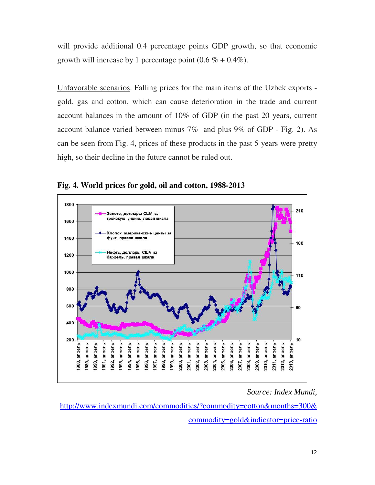will provide additional 0.4 percentage points GDP growth, so that economic growth will increase by 1 percentage point  $(0.6\% + 0.4\%)$ .

Unfavorable scenarios. Falling prices for the main items of the Uzbek exports gold, gas and cotton, which can cause deterioration in the trade and current account balances in the amount of 10% of GDP (in the past 20 years, current account balance varied between minus 7% and plus 9% of GDP - Fig. 2). As can be seen from Fig. 4, prices of these products in the past 5 years were pretty high, so their decline in the future cannot be ruled out.



**Fig. 4. World prices for gold, oil and cotton, 1988-2013** 

### *Source: Index Mundi,*

http://www.indexmundi.com/commodities/?commodity=cotton&months=300& commodity=gold&indicator=price-ratio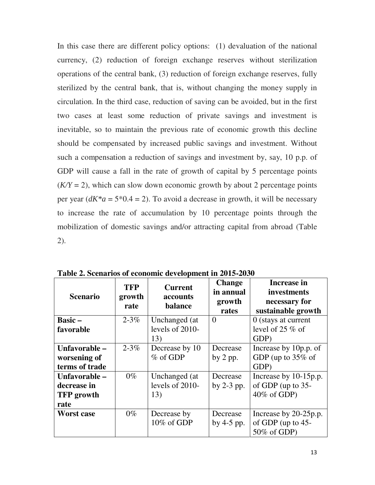In this case there are different policy options: (1) devaluation of the national currency, (2) reduction of foreign exchange reserves without sterilization operations of the central bank, (3) reduction of foreign exchange reserves, fully sterilized by the central bank, that is, without changing the money supply in circulation. In the third case, reduction of saving can be avoided, but in the first two cases at least some reduction of private savings and investment is inevitable, so to maintain the previous rate of economic growth this decline should be compensated by increased public savings and investment. Without such a compensation a reduction of savings and investment by, say, 10 p.p. of GDP will cause a fall in the rate of growth of capital by 5 percentage points  $(K/Y = 2)$ , which can slow down economic growth by about 2 percentage points per year  $(dK^*a = 5*0.4 = 2)$ . To avoid a decrease in growth, it will be necessary to increase the rate of accumulation by 10 percentage points through the mobilization of domestic savings and/or attracting capital from abroad (Table 2).

| <b>Scenario</b>   | <b>TFP</b><br>growth<br>rate | <b>Current</b><br>accounts<br>balance | <b>Change</b><br>in annual<br>growth<br>rates | Increase in<br>investments<br>necessary for<br>sustainable growth |  |  |
|-------------------|------------------------------|---------------------------------------|-----------------------------------------------|-------------------------------------------------------------------|--|--|
| <b>Basic</b> –    | $2 - 3\%$                    | Unchanged (at                         | $\theta$                                      | $0$ (stays at current                                             |  |  |
| favorable         |                              | levels of 2010-                       |                                               | level of 25 $\%$ of                                               |  |  |
|                   |                              | 13)                                   |                                               | GDP)                                                              |  |  |
| Unfavorable –     | $2 - 3\%$                    | Decrease by 10                        | Decrease                                      | Increase by 10p.p. of                                             |  |  |
| worsening of      |                              | $\%$ of GDP                           | by $2$ pp.                                    | GDP (up to $35\%$ of                                              |  |  |
| terms of trade    |                              |                                       |                                               | GDP)                                                              |  |  |
| Unfavorable –     | $0\%$                        | Unchanged (at                         | Decrease                                      | Increase by 10-15p.p.                                             |  |  |
| decrease in       |                              | levels of 2010-                       | by $2-3$ pp.                                  | of GDP (up to 35-                                                 |  |  |
| <b>TFP</b> growth |                              | 13)                                   |                                               | $40\%$ of GDP)                                                    |  |  |
| rate              |                              |                                       |                                               |                                                                   |  |  |
| <b>Worst case</b> | $0\%$                        | Decrease by                           | Decrease                                      | Increase by 20-25p.p.                                             |  |  |
|                   |                              | 10% of GDP                            | by $4-5$ pp.                                  | of GDP (up to $45$ -                                              |  |  |
|                   |                              |                                       |                                               | 50% of GDP)                                                       |  |  |

**Table 2. Scenarios of economic development in 2015-2030**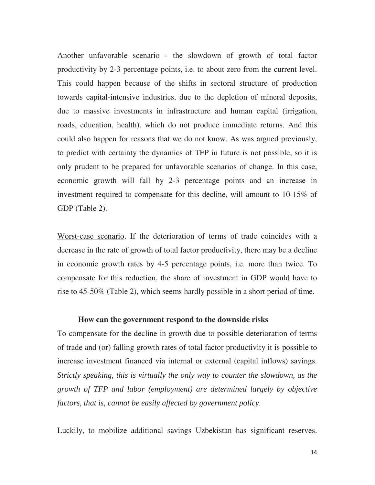Another unfavorable scenario - the slowdown of growth of total factor productivity by 2-3 percentage points, i.e. to about zero from the current level. This could happen because of the shifts in sectoral structure of production towards capital-intensive industries, due to the depletion of mineral deposits, due to massive investments in infrastructure and human capital (irrigation, roads, education, health), which do not produce immediate returns. And this could also happen for reasons that we do not know. As was argued previously, to predict with certainty the dynamics of TFP in future is not possible, so it is only prudent to be prepared for unfavorable scenarios of change. In this case, economic growth will fall by 2-3 percentage points and an increase in investment required to compensate for this decline, will amount to 10-15% of GDP (Table 2).

Worst-case scenario. If the deterioration of terms of trade coincides with a decrease in the rate of growth of total factor productivity, there may be a decline in economic growth rates by 4-5 percentage points, i.e. more than twice. To compensate for this reduction, the share of investment in GDP would have to rise to 45-50% (Table 2), which seems hardly possible in a short period of time.

### **How can the government respond to the downside risks**

To compensate for the decline in growth due to possible deterioration of terms of trade and (or) falling growth rates of total factor productivity it is possible to increase investment financed via internal or external (capital inflows) savings. *Strictly speaking, this is virtually the only way to counter the slowdown, as the growth of TFP and labor (employment) are determined largely by objective factors, that is, cannot be easily affected by government policy*.

Luckily, to mobilize additional savings Uzbekistan has significant reserves.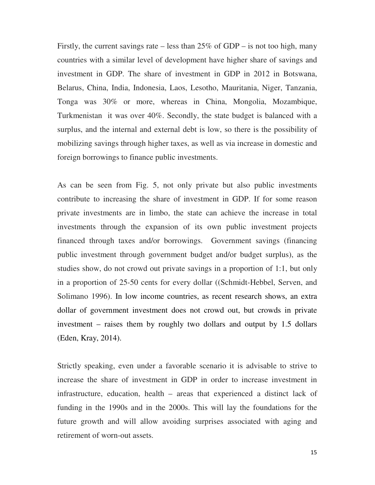Firstly, the current savings rate – less than  $25\%$  of GDP – is not too high, many countries with a similar level of development have higher share of savings and investment in GDP. The share of investment in GDP in 2012 in Botswana, Belarus, China, India, Indonesia, Laos, Lesotho, Mauritania, Niger, Tanzania, Tonga was 30% or more, whereas in China, Mongolia, Mozambique, Turkmenistan it was over 40%. Secondly, the state budget is balanced with a surplus, and the internal and external debt is low, so there is the possibility of mobilizing savings through higher taxes, as well as via increase in domestic and foreign borrowings to finance public investments.

As can be seen from Fig. 5, not only private but also public investments contribute to increasing the share of investment in GDP. If for some reason private investments are in limbo, the state can achieve the increase in total investments through the expansion of its own public investment projects financed through taxes and/or borrowings. Government savings (financing public investment through government budget and/or budget surplus), as the studies show, do not crowd out private savings in a proportion of 1:1, but only in a proportion of 25-50 cents for every dollar ((Schmidt-Hebbel, Serven, and Solimano 1996). In low income countries, as recent research shows, an extra dollar of government investment does not crowd out, but crowds in private investment – raises them by roughly two dollars and output by 1.5 dollars (Eden, Kray, 2014).

Strictly speaking, even under a favorable scenario it is advisable to strive to increase the share of investment in GDP in order to increase investment in infrastructure, education, health – areas that experienced a distinct lack of funding in the 1990s and in the 2000s. This will lay the foundations for the future growth and will allow avoiding surprises associated with aging and retirement of worn-out assets.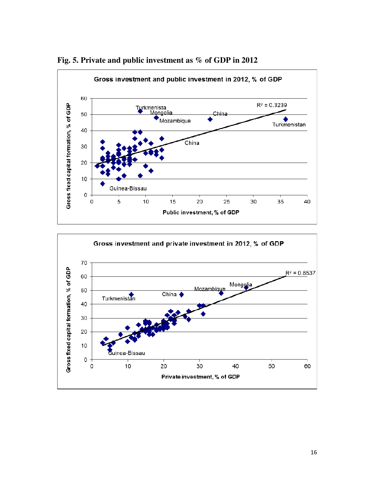

**Fig. 5. Private and public investment as % of GDP in 2012** 

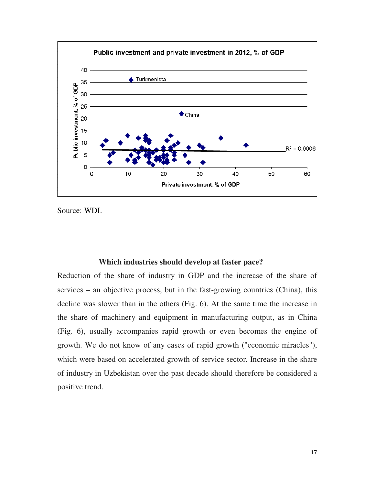

Source: WDI.

#### **Which industries should develop at faster pace?**

Reduction of the share of industry in GDP and the increase of the share of services – an objective process, but in the fast-growing countries (China), this decline was slower than in the others (Fig. 6). At the same time the increase in the share of machinery and equipment in manufacturing output, as in China (Fig. 6), usually accompanies rapid growth or even becomes the engine of growth. We do not know of any cases of rapid growth ("economic miracles"), which were based on accelerated growth of service sector. Increase in the share of industry in Uzbekistan over the past decade should therefore be considered a positive trend.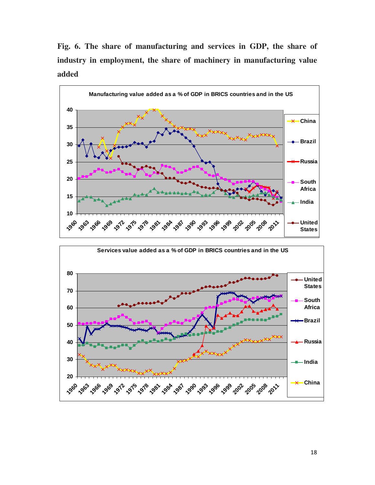**Fig. 6. The share of manufacturing and services in GDP, the share of industry in employment, the share of machinery in manufacturing value added** 



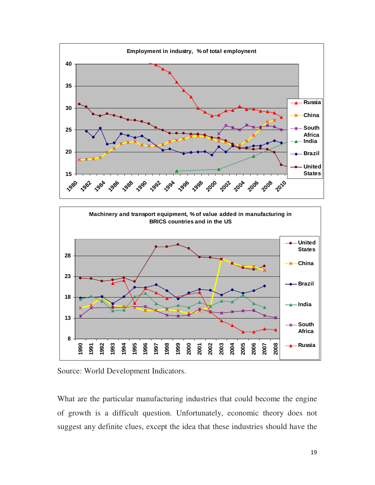



Source: World Development Indicators.

What are the particular manufacturing industries that could become the engine of growth is a difficult question. Unfortunately, economic theory does not suggest any definite clues, except the idea that these industries should have the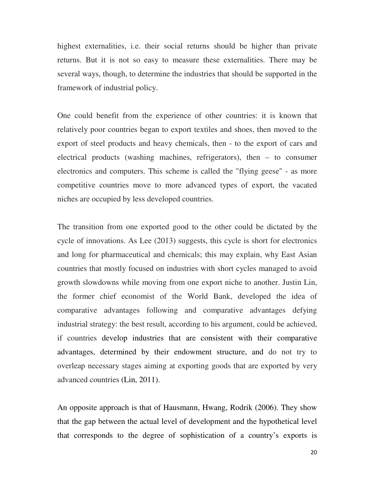highest externalities, i.e. their social returns should be higher than private returns. But it is not so easy to measure these externalities. There may be several ways, though, to determine the industries that should be supported in the framework of industrial policy.

One could benefit from the experience of other countries: it is known that relatively poor countries began to export textiles and shoes, then moved to the export of steel products and heavy chemicals, then - to the export of cars and electrical products (washing machines, refrigerators), then – to consumer electronics and computers. This scheme is called the "flying geese" - as more competitive countries move to more advanced types of export, the vacated niches are occupied by less developed countries.

The transition from one exported good to the other could be dictated by the cycle of innovations. As Lee (2013) suggests, this cycle is short for electronics and long for pharmaceutical and chemicals; this may explain, why East Asian countries that mostly focused on industries with short cycles managed to avoid growth slowdowns while moving from one export niche to another. Justin Lin, the former chief economist of the World Bank, developed the idea of comparative advantages following and comparative advantages defying industrial strategy: the best result, according to his argument, could be achieved, if countries develop industries that are consistent with their comparative advantages, determined by their endowment structure, and do not try to overleap necessary stages aiming at exporting goods that are exported by very advanced countries (Lin, 2011).

An opposite approach is that of Hausmann, Hwang, Rodrik (2006). They show that the gap between the actual level of development and the hypothetical level that corresponds to the degree of sophistication of a country's exports is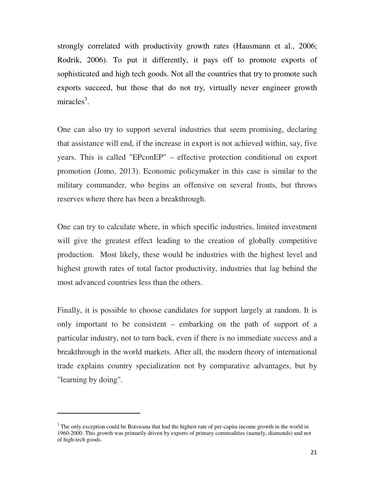strongly correlated with productivity growth rates (Hausmann et al., 2006; Rodrik, 2006). To put it differently, it pays off to promote exports of sophisticated and high tech goods. Not all the countries that try to promote such exports succeed, but those that do not try, virtually never engineer growth miracles<sup>3</sup>.

One can also try to support several industries that seem promising, declaring that assistance will end, if the increase in export is not achieved within, say, five years. This is called "EPconEP" – effective protection conditional on export promotion (Jomo, 2013). Economic policymaker in this case is similar to the military commander, who begins an offensive on several fronts, but throws reserves where there has been a breakthrough.

One can try to calculate where, in which specific industries, limited investment will give the greatest effect leading to the creation of globally competitive production. Most likely, these would be industries with the highest level and highest growth rates of total factor productivity, industries that lag behind the most advanced countries less than the others.

Finally, it is possible to choose candidates for support largely at random. It is only important to be consistent – embarking on the path of support of a particular industry, not to turn back, even if there is no immediate success and a breakthrough in the world markets. After all, the modern theory of international trade explains country specialization not by comparative advantages, but by "learning by doing".

 $\overline{a}$ 

<sup>&</sup>lt;sup>3</sup> The only exception could be Botswana that had the highest rate of per-capita income growth in the world in 1960-2000. This growth was primarily driven by exports of primary commodities (namely, diamonds) and not of high-tech goods.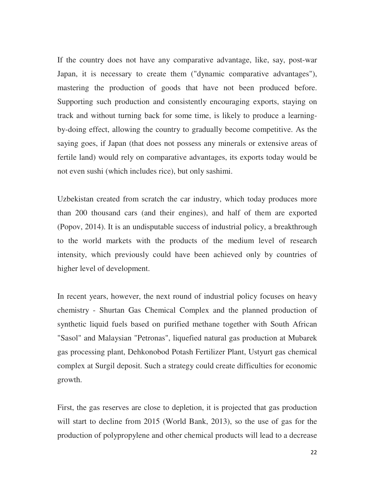If the country does not have any comparative advantage, like, say, post-war Japan, it is necessary to create them ("dynamic comparative advantages"), mastering the production of goods that have not been produced before. Supporting such production and consistently encouraging exports, staying on track and without turning back for some time, is likely to produce a learningby-doing effect, allowing the country to gradually become competitive. As the saying goes, if Japan (that does not possess any minerals or extensive areas of fertile land) would rely on comparative advantages, its exports today would be not even sushi (which includes rice), but only sashimi.

Uzbekistan created from scratch the car industry, which today produces more than 200 thousand cars (and their engines), and half of them are exported (Popov, 2014). It is an undisputable success of industrial policy, a breakthrough to the world markets with the products of the medium level of research intensity, which previously could have been achieved only by countries of higher level of development.

In recent years, however, the next round of industrial policy focuses on heavy chemistry - Shurtan Gas Chemical Complex and the planned production of synthetic liquid fuels based on purified methane together with South African "Sasol" and Malaysian "Petronas", liquefied natural gas production at Mubarek gas processing plant, Dehkonobod Potash Fertilizer Plant, Ustyurt gas chemical complex at Surgil deposit. Such a strategy could create difficulties for economic growth.

First, the gas reserves are close to depletion, it is projected that gas production will start to decline from 2015 (World Bank, 2013), so the use of gas for the production of polypropylene and other chemical products will lead to a decrease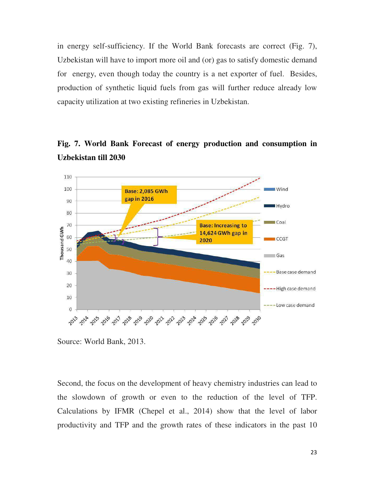in energy self-sufficiency. If the World Bank forecasts are correct (Fig. 7), Uzbekistan will have to import more oil and (or) gas to satisfy domestic demand for energy, even though today the country is a net exporter of fuel. Besides, production of synthetic liquid fuels from gas will further reduce already low capacity utilization at two existing refineries in Uzbekistan.



**Fig. 7. World Bank Forecast of energy production and consumption in Uzbekistan till 2030** 

Source: World Bank, 2013.

Second, the focus on the development of heavy chemistry industries can lead to the slowdown of growth or even to the reduction of the level of TFP. Calculations by IFMR (Chepel et al., 2014) show that the level of labor productivity and TFP and the growth rates of these indicators in the past 10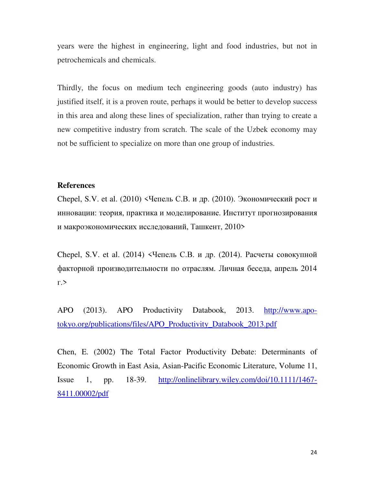years were the highest in engineering, light and food industries, but not in petrochemicals and chemicals.

Thirdly, the focus on medium tech engineering goods (auto industry) has justified itself, it is a proven route, perhaps it would be better to develop success in this area and along these lines of specialization, rather than trying to create a new competitive industry from scratch. The scale of the Uzbek economy may not be sufficient to specialize on more than one group of industries.

### **References**

Chepel, S.V. et al. (2010) <Чепель С.В. и др. (2010). Экономический рост и инновации: теория, практика и моделирование. Институт прогнозирования и макроэкономических исследований, Ташкент, 2010>

Chepel, S.V. et al. (2014) <Чепель С.В. и др. (2014). Расчеты совокупной факторной производительности по отраслям. Личная беседа, апрель 2014 г.>

APO (2013). APO Productivity Databook, 2013. http://www.apotokyo.org/publications/files/APO\_Productivity\_Databook\_2013.pdf

Chen, E. (2002) The Total Factor Productivity Debate: Determinants of Economic Growth in East Asia, Asian-Pacific Economic Literature, Volume 11, Issue 1, pp. 18-39. http://onlinelibrary.wiley.com/doi/10.1111/1467- 8411.00002/pdf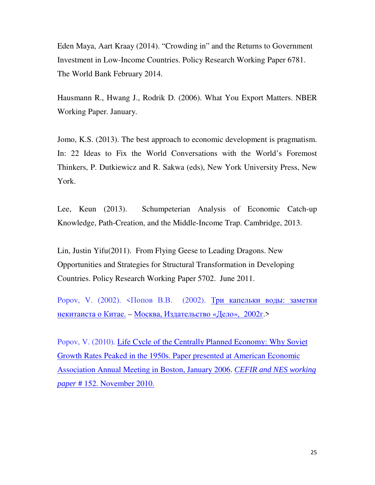Eden Maya, Aart Kraay (2014). "Crowding in" and the Returns to Government Investment in Low-Income Countries. Policy Research Working Paper 6781. The World Bank February 2014.

Hausmann R., Hwang J., Rodrik D. (2006). What You Export Matters. NBER Working Paper. January.

Jomo, K.S. (2013). The best approach to economic development is pragmatism. In: 22 Ideas to Fix the World Conversations with the World's Foremost Thinkers, P. Dutkiewicz and R. Sakwa (eds), New York University Press, New York.

Lee, Keun (2013). Schumpeterian Analysis of Economic Catch-up Knowledge, Path-Creation, and the Middle-Income Trap. Cambridge, 2013.

Lin, Justin Yifu(2011). From Flying Geese to Leading Dragons. New Opportunities and Strategies for Structural Transformation in Developing Countries. Policy Research Working Paper 5702. June 2011.

Popov, V. (2002). <Попов В.В. (2002). Три капельки воды: заметки некитаиста о Китае. – Москва, Издательство «Дело», 2002г.>

Popov, V. (2010). Life Cycle of the Centrally Planned Economy: Why Soviet Growth Rates Peaked in the 1950s. Paper presented at American Economic Association Annual Meeting in Boston, January 2006. *CEFIR and NES working paper* # 152. November 2010.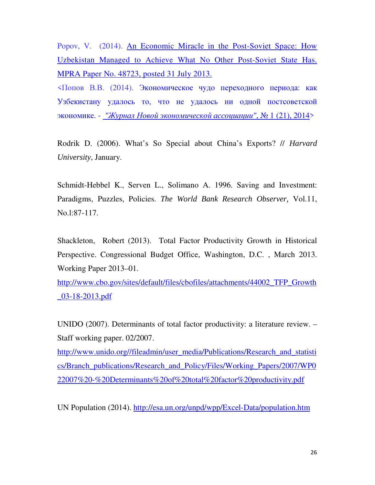Popov, V. (2014). An Economic Miracle in the Post-Soviet Space: How Uzbekistan Managed to Achieve What No Other Post-Soviet State Has. MPRA Paper No. 48723, posted 31 July 2013.

<Попов В.В. (2014). Экономическое чудо переходного периода: как Узбекистану удалось то, что не удалось ни одной постсоветской экономике. - *"*Журнал Новой экономической ассоциации*"*, № 1 (21), 2014>

Rodrik D. (2006). What's So Special about China's Exports? // *Harvard University*, January.

Schmidt-Hebbel K., Serven L., Solimano A. 1996. Saving and Investment: Paradigms, Puzzles, Policies. *The World Bank Research Observer,* Vol.11, No.l:87-117.

Shackleton, Robert (2013). Total Factor Productivity Growth in Historical Perspective. Congressional Budget Office, Washington, D.C. , March 2013. Working Paper 2013–01.

http://www.cbo.gov/sites/default/files/cbofiles/attachments/44002\_TFP\_Growth \_03-18-2013.pdf

UNIDO (2007). Determinants of total factor productivity: a literature review. – Staff working paper. 02/2007.

http://www.unido.org//fileadmin/user\_media/Publications/Research\_and\_statisti cs/Branch\_publications/Research\_and\_Policy/Files/Working\_Papers/2007/WP0 22007%20-%20Determinants%20of%20total%20factor%20productivity.pdf

UN Population (2014). http://esa.un.org/unpd/wpp/Excel-Data/population.htm